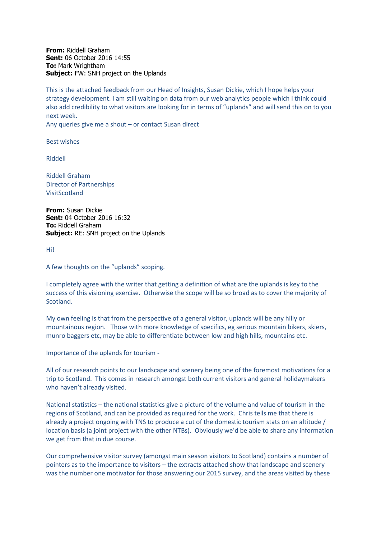**From:** Riddell Graham **Sent:** 06 October 2016 14:55 **To:** Mark Wrightham **Subject:** FW: SNH project on the Uplands

This is the attached feedback from our Head of Insights, Susan Dickie, which I hope helps your strategy development. I am still waiting on data from our web analytics people which I think could also add credibility to what visitors are looking for in terms of "uplands" and will send this on to you next week.

Any queries give me a shout – or contact Susan direct

Best wishes

Riddell

Riddell Graham Director of Partnerships VisitScotland

**From:** Susan Dickie **Sent:** 04 October 2016 16:32 **To:** Riddell Graham **Subject:** RE: SNH project on the Uplands

Hi!

A few thoughts on the "uplands" scoping.

I completely agree with the writer that getting a definition of what are the uplands is key to the success of this visioning exercise. Otherwise the scope will be so broad as to cover the majority of Scotland.

My own feeling is that from the perspective of a general visitor, uplands will be any hilly or mountainous region. Those with more knowledge of specifics, eg serious mountain bikers, skiers, munro baggers etc, may be able to differentiate between low and high hills, mountains etc.

Importance of the uplands for tourism -

All of our research points to our landscape and scenery being one of the foremost motivations for a trip to Scotland. This comes in research amongst both current visitors and general holidaymakers who haven't already visited.

National statistics – the national statistics give a picture of the volume and value of tourism in the regions of Scotland, and can be provided as required for the work. Chris tells me that there is already a project ongoing with TNS to produce a cut of the domestic tourism stats on an altitude / location basis (a joint project with the other NTBs). Obviously we'd be able to share any information we get from that in due course.

Our comprehensive visitor survey (amongst main season visitors to Scotland) contains a number of pointers as to the importance to visitors – the extracts attached show that landscape and scenery was the number one motivator for those answering our 2015 survey, and the areas visited by these